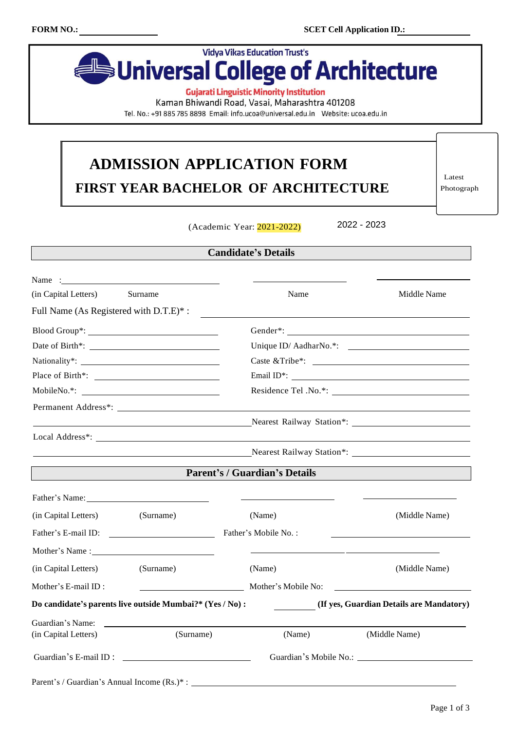

**Gujarati Linguistic Minority Institution** 

Kaman Bhiwandi Road, Vasai, Maharashtra 401208

Tel. No.: +91 885 785 8898 Email: info.ucoa@universal.edu.in Website: ucoa.edu.in

## **ADMISSION APPLICATION FORM FIRST YEAR BACHELOR OF ARCHITECTURE**

Latest Photograph

(Academic Year: 2021-2022)

2022 - 2023

## **Candidate's Details**

| Name $\frac{1}{2}$ $\frac{1}{2}$ $\frac{1}{2}$ $\frac{1}{2}$ $\frac{1}{2}$ $\frac{1}{2}$ $\frac{1}{2}$ $\frac{1}{2}$ $\frac{1}{2}$ $\frac{1}{2}$ $\frac{1}{2}$ $\frac{1}{2}$ $\frac{1}{2}$ $\frac{1}{2}$ $\frac{1}{2}$ $\frac{1}{2}$ $\frac{1}{2}$ $\frac{1}{2}$ $\frac{1}{2}$ $\frac{1}{2}$ $\frac{1}{2}$ $\frac{1}{$ |                                                                                                                       |                                      |                                                                            |  |  |
|------------------------------------------------------------------------------------------------------------------------------------------------------------------------------------------------------------------------------------------------------------------------------------------------------------------------|-----------------------------------------------------------------------------------------------------------------------|--------------------------------------|----------------------------------------------------------------------------|--|--|
| (in Capital Letters)                                                                                                                                                                                                                                                                                                   | Surname                                                                                                               | Name                                 | Middle Name                                                                |  |  |
| Full Name (As Registered with D.T.E)*:                                                                                                                                                                                                                                                                                 |                                                                                                                       |                                      |                                                                            |  |  |
|                                                                                                                                                                                                                                                                                                                        |                                                                                                                       |                                      |                                                                            |  |  |
|                                                                                                                                                                                                                                                                                                                        |                                                                                                                       |                                      |                                                                            |  |  |
|                                                                                                                                                                                                                                                                                                                        |                                                                                                                       |                                      |                                                                            |  |  |
|                                                                                                                                                                                                                                                                                                                        |                                                                                                                       |                                      |                                                                            |  |  |
|                                                                                                                                                                                                                                                                                                                        | MobileNo.*:                                                                                                           |                                      | Residence Tel .No.*:                                                       |  |  |
|                                                                                                                                                                                                                                                                                                                        | Permanent Address*:                                                                                                   |                                      |                                                                            |  |  |
|                                                                                                                                                                                                                                                                                                                        | <u> 1989 - Johann Barbara, martin amerikan basar dan berasal dan berasal dalam basar dalam basar dalam basar dala</u> |                                      |                                                                            |  |  |
|                                                                                                                                                                                                                                                                                                                        |                                                                                                                       |                                      |                                                                            |  |  |
|                                                                                                                                                                                                                                                                                                                        |                                                                                                                       |                                      |                                                                            |  |  |
|                                                                                                                                                                                                                                                                                                                        |                                                                                                                       | <b>Parent's / Guardian's Details</b> |                                                                            |  |  |
| Father's Name: Name and Solid Report of the Second Library of the Second Library of the Second Library of the Second Library of the Second Library of the Second Library of the Second Library of the Second Library of the Se                                                                                         |                                                                                                                       |                                      |                                                                            |  |  |
| (in Capital Letters)                                                                                                                                                                                                                                                                                                   | (Surname)                                                                                                             | (Name)                               | (Middle Name)                                                              |  |  |
|                                                                                                                                                                                                                                                                                                                        |                                                                                                                       | Father's Mobile No.:                 |                                                                            |  |  |
|                                                                                                                                                                                                                                                                                                                        |                                                                                                                       |                                      | the control of the control of the control of the control of the control of |  |  |
| (in Capital Letters)                                                                                                                                                                                                                                                                                                   | (Surname)                                                                                                             | (Name)                               | (Middle Name)                                                              |  |  |
| Mother's E-mail ID:                                                                                                                                                                                                                                                                                                    |                                                                                                                       | Mother's Mobile No:                  |                                                                            |  |  |
|                                                                                                                                                                                                                                                                                                                        | Do candidate's parents live outside Mumbai?* (Yes / No):                                                              |                                      | (If yes, Guardian Details are Mandatory)                                   |  |  |
| Guardian's Name:                                                                                                                                                                                                                                                                                                       | <u> 1990 - John Harry Harry Harry Harry Harry Harry Harry Harry Harry Harry Harry Harry Harry Harry Harry Harry H</u> |                                      |                                                                            |  |  |
| (in Capital Letters)                                                                                                                                                                                                                                                                                                   | (Surname)                                                                                                             | (Name)                               | (Middle Name)                                                              |  |  |
| Guardian's E-mail ID:                                                                                                                                                                                                                                                                                                  |                                                                                                                       |                                      | Guardian's Mobile No.:                                                     |  |  |
| Parent's / Guardian's Annual Income (Rs.)*:                                                                                                                                                                                                                                                                            |                                                                                                                       |                                      |                                                                            |  |  |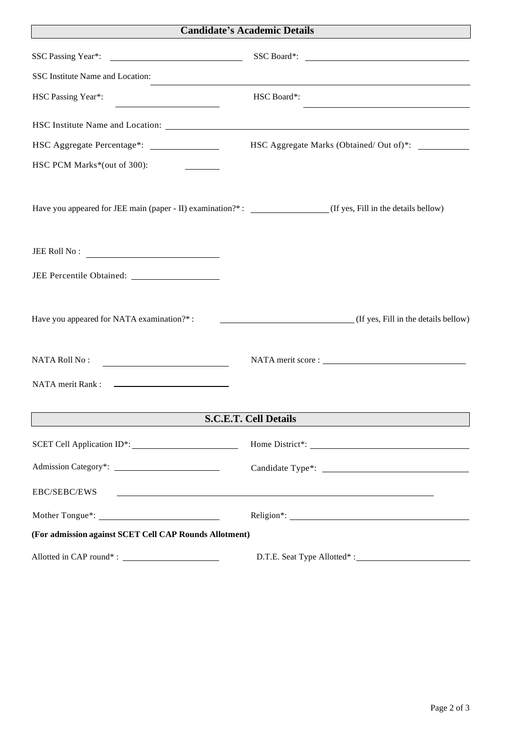## **Candidate's Academic Details**

 $\overline{\phantom{a}}$ 

| SSC Passing Year*:                                                                                              | SSC Board*:                                                                                                          |  |  |
|-----------------------------------------------------------------------------------------------------------------|----------------------------------------------------------------------------------------------------------------------|--|--|
| SSC Institute Name and Location:                                                                                |                                                                                                                      |  |  |
| HSC Passing Year*:<br><u> 1980 - Johann Barbara, martxa alemani</u> ar                                          | HSC Board*:<br><u> 1980 - Johann Barn, amerikansk politiker (</u>                                                    |  |  |
|                                                                                                                 |                                                                                                                      |  |  |
| HSC Aggregate Percentage*: ________________                                                                     | HSC Aggregate Marks (Obtained/ Out of)*:                                                                             |  |  |
| HSC PCM Marks*(out of 300):                                                                                     |                                                                                                                      |  |  |
| Have you appeared for JEE main (paper - II) examination?*: ________________(If yes, Fill in the details bellow) |                                                                                                                      |  |  |
| $JEE$ Roll No :                                                                                                 |                                                                                                                      |  |  |
|                                                                                                                 |                                                                                                                      |  |  |
| Have you appeared for NATA examination?*:                                                                       | (If yes, Fill in the details below)                                                                                  |  |  |
| <b>NATA Roll No:</b><br><u> 1989 - Johann Barn, fransk politik fotograf (</u>                                   |                                                                                                                      |  |  |
|                                                                                                                 |                                                                                                                      |  |  |
|                                                                                                                 | <b>S.C.E.T. Cell Details</b>                                                                                         |  |  |
|                                                                                                                 |                                                                                                                      |  |  |
|                                                                                                                 |                                                                                                                      |  |  |
| EBC/SEBC/EWS                                                                                                    | <u> 1990 - Johann John Stone, markin fan it ferstjer fan de ferstjer fan it ferstjer fan it ferstjer fan it fers</u> |  |  |
|                                                                                                                 |                                                                                                                      |  |  |
| (For admission against SCET Cell CAP Rounds Allotment)                                                          |                                                                                                                      |  |  |
|                                                                                                                 |                                                                                                                      |  |  |